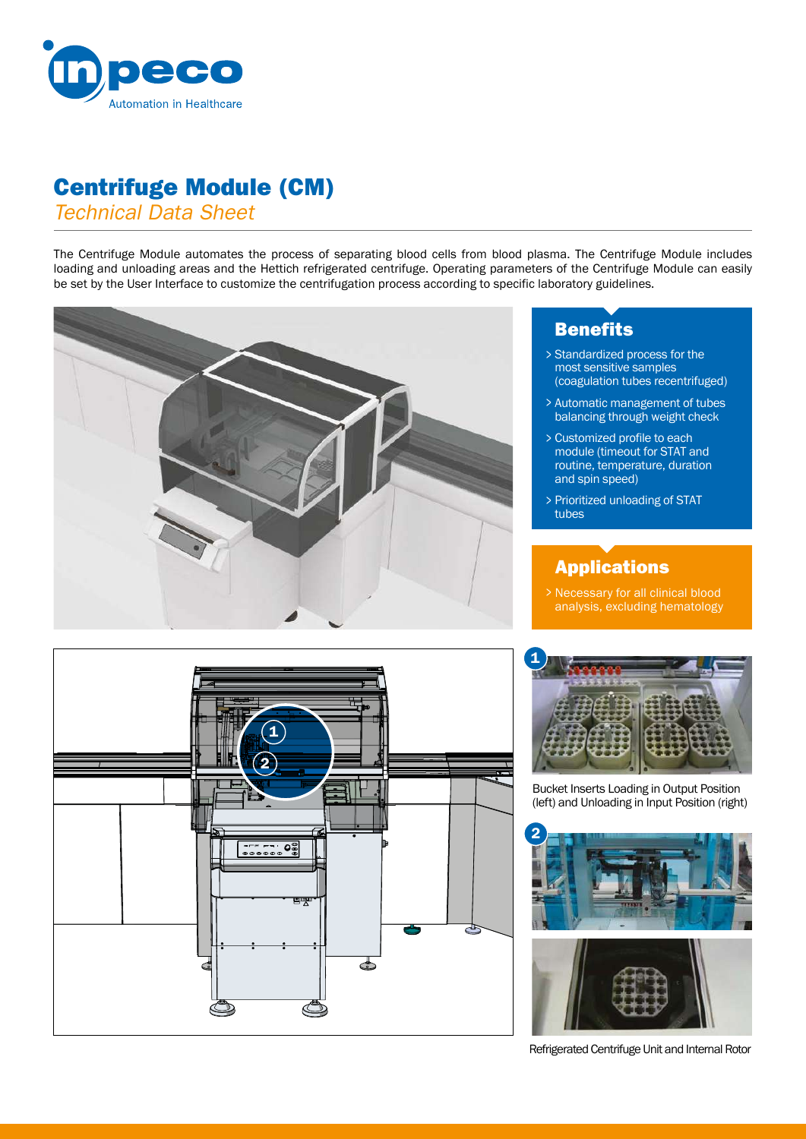

# Centrifuge Module (CM)

*Technical Data Sheet*

The Centrifuge Module automates the process of separating blood cells from blood plasma. The Centrifuge Module includes loading and unloading areas and the Hettich refrigerated centrifuge. Operating parameters of the Centrifuge Module can easily be set by the User Interface to customize the centrifugation process according to specific laboratory guidelines.



## **Benefits**

- Standardized process for the > most sensitive samples (coagulation tubes recentrifuged)
- Automatic management of tubes > balancing through weight check
- Customized profile to each > module (timeout for STAT and routine, temperature, duration and spin speed)
- Prioritized unloading of STAT > tubes

## Applications

Necessary for all clinical blood analysis, excluding hematology >





Bucket Inserts Loading in Output Position (left) and Unloading in Input Position (right)





Refrigerated Centrifuge Unit and Internal Rotor